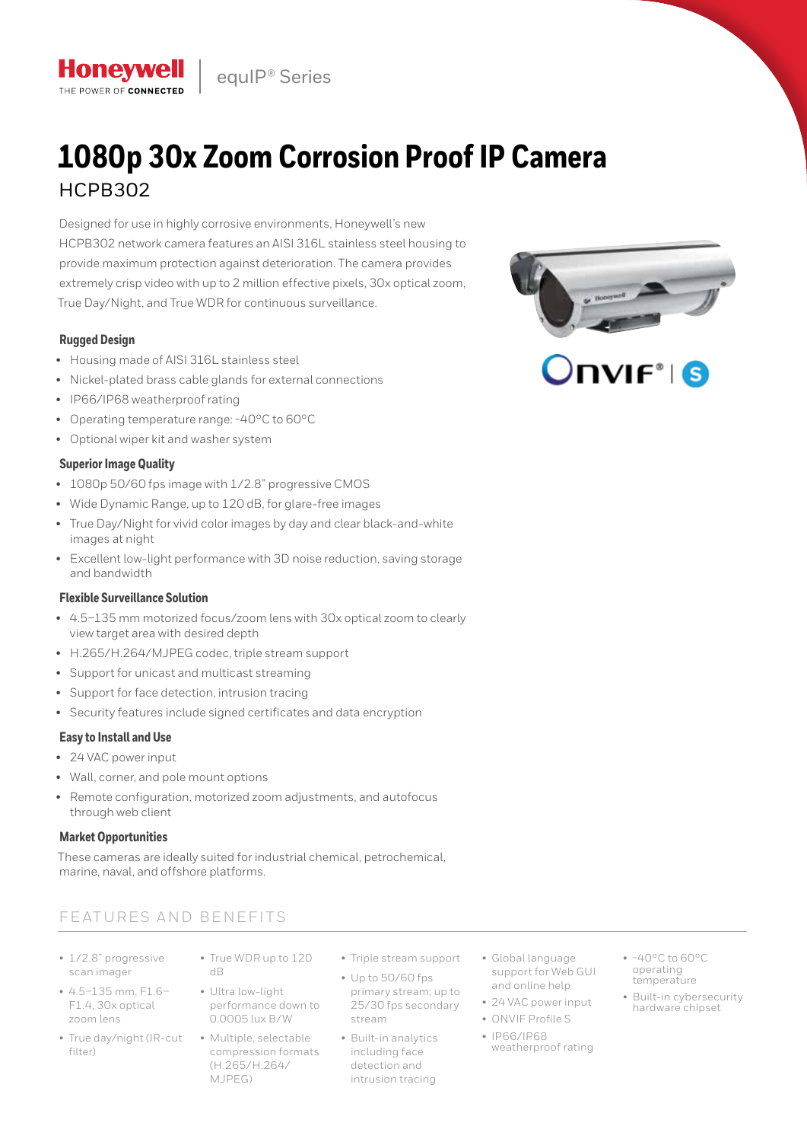equIP® Series

# **1080p 30x Zoom Corrosion Proof IP Camera**  HCPB302

Designed for use in highly corrosive environments, Honeywell's new HCPB302 network camera features an AISI 316L stainless steel housing to provide maximum protection against deterioration. The camera provides extremely crisp video with up to 2 million effective pixels, 30x optical zoom, True Day/Night, and True WDR for continuous surveillance.

# **Rugged Design**

**Honevwell** THE POWER OF CONNECTED

- Housing made of AISI 316L stainless steel
- Nickel-plated brass cable glands for external connections
- IP66/IP68 weatherproof rating
- Operating temperature range: -40°C to 60°C
- Optional wiper kit and washer system

# **Superior Image Quality**

- 1080p 50/60 fps image with 1/2.8" progressive CMOS
- Wide Dynamic Range, up to 120 dB, for glare-free images
- True Day/Night for vivid color images by day and clear black-and-white images at night
- Excellent low-light performance with 3D noise reduction, saving storage and bandwidth

## **Flexible Surveillance Solution**

- 4.5–135 mm motorized focus/zoom lens with 30x optical zoom to clearly view target area with desired depth
- H.265/H.264/MJPEG codec, triple stream support
- Support for unicast and multicast streaming
- Support for face detection, intrusion tracing
- Security features include signed certificates and data encryption

## **Easy to Install and Use**

- 24 VAC power input
- Wall, corner, and pole mount options
- Remote configuration, motorized zoom adjustments, and autofocus through web client

## **Market Opportunities**

These cameras are ideally suited for industrial chemical, petrochemical, marine, naval, and offshore platforms.

# FEATURES AND BENEFITS

- 1/2.8" progressive scan imager
- 4.5–135 mm, F1.6– F1.4, 30x optical zoom lens
- True day/night (IR-cut Multiple, selectable  $filfpr)$
- True WDR up to 120 dB
- Ultra low-light performance down to 0.0005 lux B/W
	- compression formats (H.265/H.264/ MJPEG)
- Triple stream support
- Up to 50/60 fps primary stream; up to 25/30 fps secondary

stream

- Built-in analytics including face detection and intrusion tracing
- Global language support for Web GUI and online help
- 24 VAC power input
- ONVIF Profile S
- IP66/IP68 weatherproof rating
- -40°C to 60°C operating temperature
- Built-in cybersecurity hardware chipset

# $\sqrt{\mathsf{IVIF}^*}$  is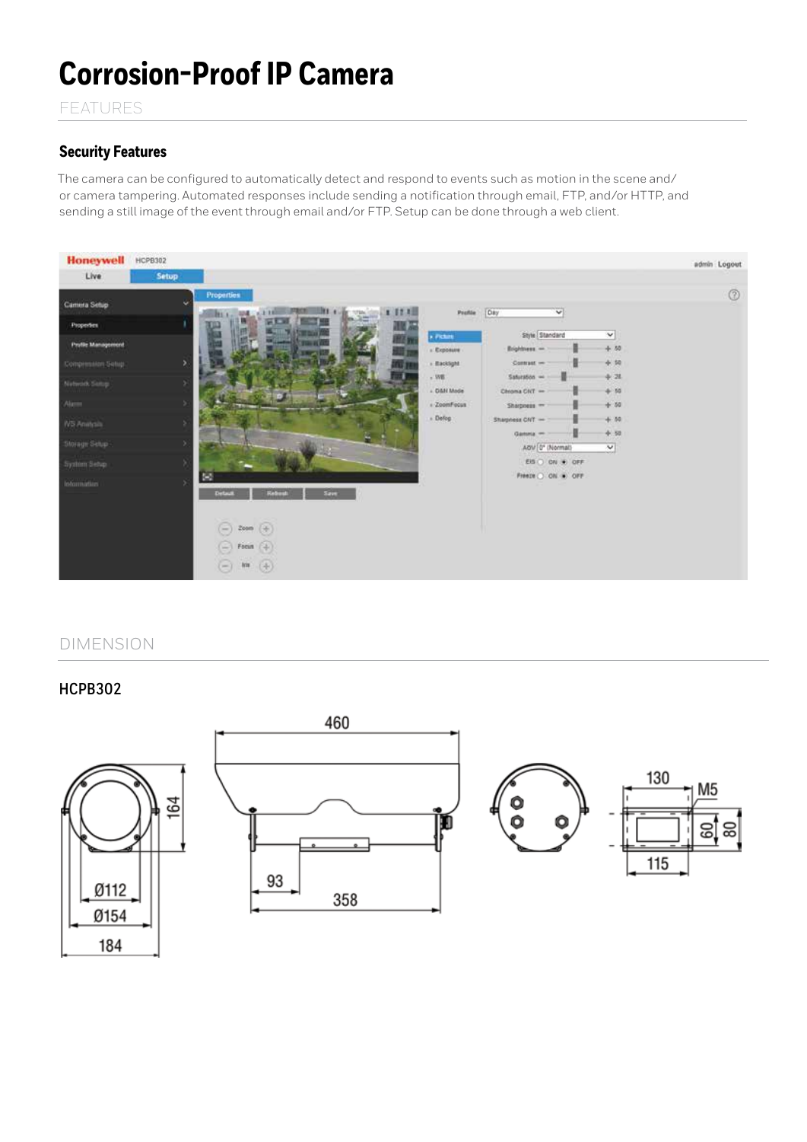# **Corrosion-Proof IP Camera**

FEATURES

# **Security Features**

The camera can be configured to automatically detect and respond to events such as motion in the scene and/ or camera tampering. Automated responses include sending a notification through email, FTP, and/or HTTP, and sending a still image of the event through email and/or FTP. Setup can be done through a web client.



# DIMENSION

184

**HCPB302**

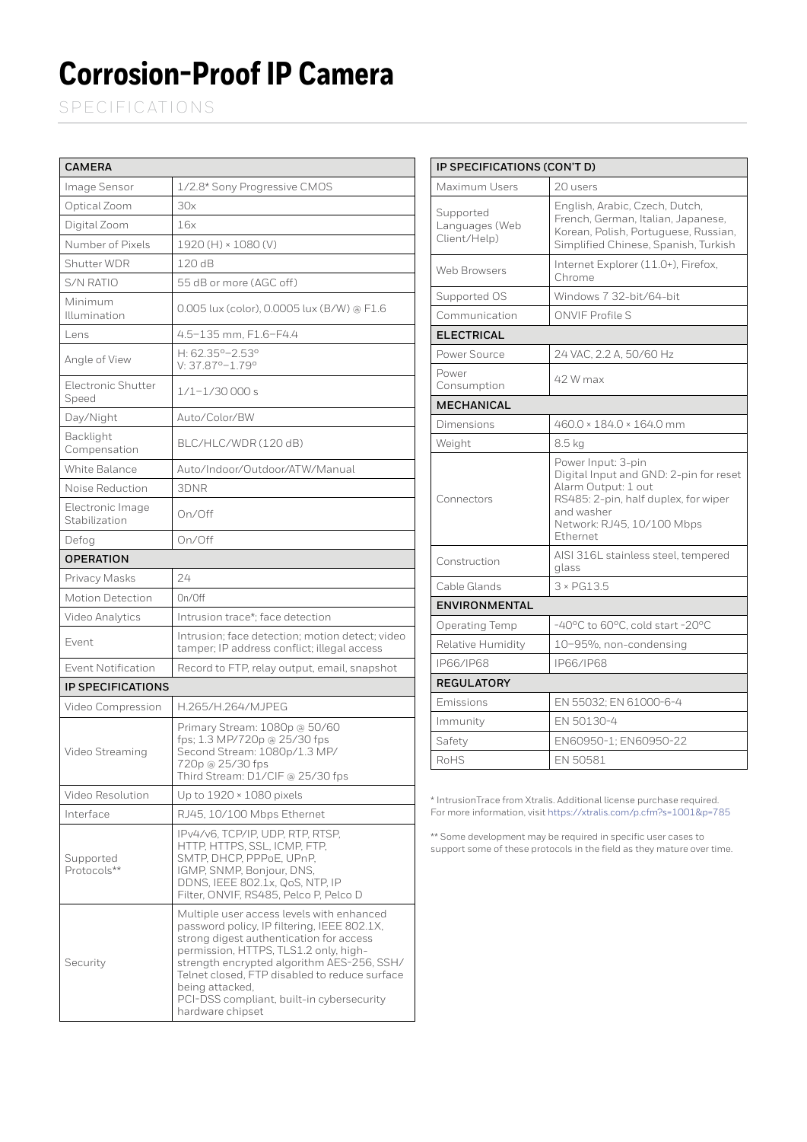# **Corrosion-Proof IP Camera**

SPECIFICATIONS

| <b>CAMERA</b>                     |                                                                                                                                                                                                                                                                                                                                                                 |  |
|-----------------------------------|-----------------------------------------------------------------------------------------------------------------------------------------------------------------------------------------------------------------------------------------------------------------------------------------------------------------------------------------------------------------|--|
| Image Sensor                      | 1/2.8* Sony Progressive CMOS                                                                                                                                                                                                                                                                                                                                    |  |
| Optical Zoom                      | 30x                                                                                                                                                                                                                                                                                                                                                             |  |
| Digital Zoom                      | 16x                                                                                                                                                                                                                                                                                                                                                             |  |
| Number of Pixels                  | 1920 (H) × 1080 (V)                                                                                                                                                                                                                                                                                                                                             |  |
| Shutter WDR                       | 120 dB                                                                                                                                                                                                                                                                                                                                                          |  |
| S/N RATIO                         | 55 dB or more (AGC off)                                                                                                                                                                                                                                                                                                                                         |  |
| Minimum<br>Illumination           | 0.005 lux (color), 0.0005 lux (B/W) @ F1.6                                                                                                                                                                                                                                                                                                                      |  |
| Lens                              | 4.5–135 mm, F1.6–F4.4                                                                                                                                                                                                                                                                                                                                           |  |
| Angle of View                     | H: 62.35°-2.53°<br>V: 37.87°-1.79°                                                                                                                                                                                                                                                                                                                              |  |
| Electronic Shutter<br>Speed       | 1/1-1/30 000 s                                                                                                                                                                                                                                                                                                                                                  |  |
| Day/Night                         | Auto/Color/BW                                                                                                                                                                                                                                                                                                                                                   |  |
| Backlight<br>Compensation         | BLC/HLC/WDR (120 dB)                                                                                                                                                                                                                                                                                                                                            |  |
| White Balance                     | Auto/Indoor/Outdoor/ATW/Manual                                                                                                                                                                                                                                                                                                                                  |  |
| Noise Reduction                   | 3DNR                                                                                                                                                                                                                                                                                                                                                            |  |
| Electronic Image<br>Stabilization | On/Off                                                                                                                                                                                                                                                                                                                                                          |  |
| Defog                             | On/Off                                                                                                                                                                                                                                                                                                                                                          |  |
| <b>OPERATION</b>                  |                                                                                                                                                                                                                                                                                                                                                                 |  |
| Privacy Masks                     | 24                                                                                                                                                                                                                                                                                                                                                              |  |
| Motion Detection                  | On/Off                                                                                                                                                                                                                                                                                                                                                          |  |
| Video Analytics                   | Intrusion trace*; face detection                                                                                                                                                                                                                                                                                                                                |  |
| Event                             | Intrusion; face detection; motion detect; video<br>tamper; IP address conflict; illegal access                                                                                                                                                                                                                                                                  |  |
| <b>Event Notification</b>         | Record to FTP, relay output, email, snapshot                                                                                                                                                                                                                                                                                                                    |  |
| <b>IP SPECIFICATIONS</b>          |                                                                                                                                                                                                                                                                                                                                                                 |  |
| Video Compression                 | H.265/H.264/MJPEG                                                                                                                                                                                                                                                                                                                                               |  |
| Video Streaming                   | Primary Stream: 1080p @ 50/60<br>fps; 1.3 MP/720p @ 25/30 fps<br>Second Stream: 1080p/1.3 MP/<br>720p @ 25/30 fps<br>Third Stream: D1/CIF @ 25/30 fps                                                                                                                                                                                                           |  |
| Video Resolution                  | Up to 1920 × 1080 pixels                                                                                                                                                                                                                                                                                                                                        |  |
| Interface                         | RJ45, 10/100 Mbps Ethernet                                                                                                                                                                                                                                                                                                                                      |  |
| Supported<br>Protocols**          | IPv4/v6, TCP/IP, UDP, RTP, RTSP,<br>HTTP, HTTPS, SSL, ICMP, FTP,<br>SMTP, DHCP, PPPoE, UPnP,<br>IGMP, SNMP, Bonjour, DNS,<br>DDNS, IEEE 802.1x, QoS, NTP, IP<br>Filter, ONVIF, RS485, Pelco P, Pelco D                                                                                                                                                          |  |
| Security                          | Multiple user access levels with enhanced<br>password policy, IP filtering, IEEE 802.1X,<br>strong digest authentication for access<br>permission, HTTPS, TLS1.2 only, high-<br>strength encrypted algorithm AES-256, SSH/<br>Telnet closed, FTP disabled to reduce surface<br>being attacked,<br>PCI-DSS compliant, built-in cybersecurity<br>hardware chipset |  |

| IP SPECIFICATIONS (CON'T D)                 |                                                                                                                                                                                     |  |
|---------------------------------------------|-------------------------------------------------------------------------------------------------------------------------------------------------------------------------------------|--|
| Maximum Users                               | 20 users                                                                                                                                                                            |  |
| Supported<br>Languages (Web<br>Client/Help) | English, Arabic, Czech, Dutch,<br>French, German, Italian, Japanese,<br>Korean, Polish, Portuguese, Russian,<br>Simplified Chinese, Spanish, Turkish                                |  |
| Web Browsers                                | Internet Explorer (11.0+), Firefox,<br>Chrome                                                                                                                                       |  |
| Supported OS                                | Windows 7 32-bit/64-bit                                                                                                                                                             |  |
| Communication                               | <b>ONVIF Profile S</b>                                                                                                                                                              |  |
| <b>ELECTRICAL</b>                           |                                                                                                                                                                                     |  |
| Power Source                                | 24 VAC, 2.2 A, 50/60 Hz                                                                                                                                                             |  |
| Power<br>Consumption                        | 42 W max                                                                                                                                                                            |  |
| <b>MECHANICAL</b>                           |                                                                                                                                                                                     |  |
| Dimensions                                  | 460.0 × 184.0 × 164.0 mm                                                                                                                                                            |  |
| Weight                                      | 8.5 kg                                                                                                                                                                              |  |
| Connectors                                  | Power Input: 3-pin<br>Digital Input and GND: 2-pin for reset<br>Alarm Output: 1 out<br>RS485: 2-pin, half duplex, for wiper<br>and washer<br>Network: RJ45, 10/100 Mbps<br>Ethernet |  |
| Construction                                | AISI 316L stainless steel, tempered<br>glass                                                                                                                                        |  |
| Cable Glands                                | $3 \times$ PG13.5                                                                                                                                                                   |  |
| <b>ENVIRONMENTAL</b>                        |                                                                                                                                                                                     |  |
| <b>Operating Temp</b>                       | -40°C to 60°C, cold start -20°C                                                                                                                                                     |  |
| Relative Humidity                           | 10-95%, non-condensing                                                                                                                                                              |  |
| IP66/IP68                                   | IP66/IP68                                                                                                                                                                           |  |
| <b>REGULATORY</b>                           |                                                                                                                                                                                     |  |
| Emissions                                   | EN 55032; EN 61000-6-4                                                                                                                                                              |  |
| Immunity                                    | EN 50130-4                                                                                                                                                                          |  |
| Safety                                      | EN60950-1; EN60950-22                                                                                                                                                               |  |
| RoHS                                        | EN 50581                                                                                                                                                                            |  |

\* IntrusionTrace from Xtralis. Additional license purchase required. For more information, visit https://xtralis.com/p.cfm?s=1001&p=785

\*\* Some development may be required in specific user cases to support some of these protocols in the field as they mature over time.